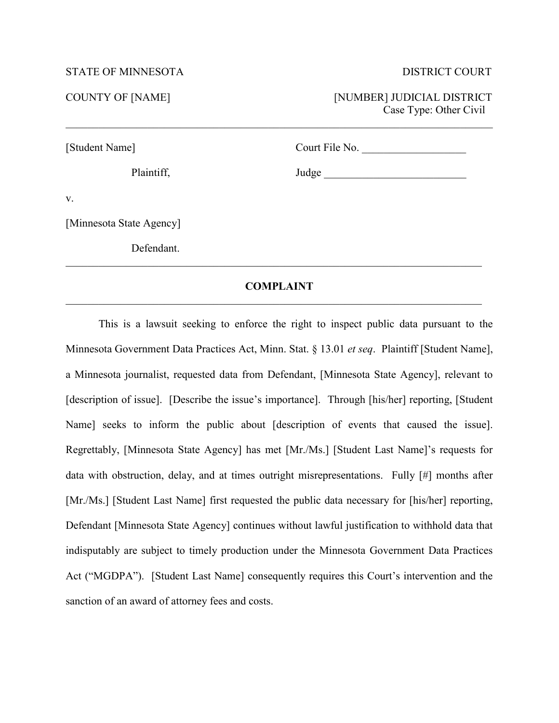## STATE OF MINNESOTA DISTRICT COURT

COUNTY OF [NAME] [NUMBER] JUDICIAL DISTRICT Case Type: Other Civil

[Student Name] Court File No. \_\_\_\_\_\_\_\_\_\_\_\_\_\_\_\_\_\_\_

Plaintiff, Judge \_\_\_\_\_\_\_\_\_\_\_\_\_\_\_\_\_\_\_\_\_\_\_\_\_\_

v.

[Minnesota State Agency]

Defendant.

# **COMPLAINT** \_\_\_\_\_\_\_\_\_\_\_\_\_\_\_\_\_\_\_\_\_\_\_\_\_\_\_\_\_\_\_\_\_\_\_\_\_\_\_\_\_\_\_\_\_\_\_\_\_\_\_\_\_\_\_\_\_\_\_\_\_\_\_\_\_\_\_\_\_\_\_\_\_\_\_\_

\_\_\_\_\_\_\_\_\_\_\_\_\_\_\_\_\_\_\_\_\_\_\_\_\_\_\_\_\_\_\_\_\_\_\_\_\_\_\_\_\_\_\_\_\_\_\_\_\_\_\_\_\_\_\_\_\_\_\_\_\_\_\_\_\_\_\_\_\_\_\_\_\_\_\_\_

\_\_\_\_\_\_\_\_\_\_\_\_\_\_\_\_\_\_\_\_\_\_\_\_\_\_\_\_\_\_\_\_\_\_\_\_\_\_\_\_\_\_\_\_\_\_\_\_\_\_\_\_\_\_\_\_\_\_\_\_\_\_\_\_\_\_\_\_\_\_\_\_\_\_\_\_\_\_

This is a lawsuit seeking to enforce the right to inspect public data pursuant to the Minnesota Government Data Practices Act, Minn. Stat. § 13.01 *et seq*. Plaintiff [Student Name], a Minnesota journalist, requested data from Defendant, [Minnesota State Agency], relevant to [description of issue]. [Describe the issue's importance]. Through [his/her] reporting, [Student] Name] seeks to inform the public about [description of events that caused the issue]. Regrettably, [Minnesota State Agency] has met [Mr./Ms.] [Student Last Name]'s requests for data with obstruction, delay, and at times outright misrepresentations. Fully [#] months after [Mr./Ms.] [Student Last Name] first requested the public data necessary for [his/her] reporting, Defendant [Minnesota State Agency] continues without lawful justification to withhold data that indisputably are subject to timely production under the Minnesota Government Data Practices Act ("MGDPA"). [Student Last Name] consequently requires this Court's intervention and the sanction of an award of attorney fees and costs.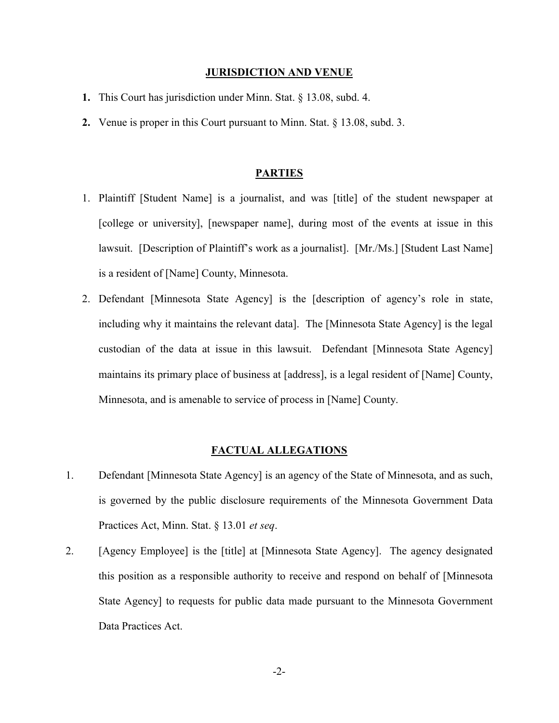#### **JURISDICTION AND VENUE**

- **1.** This Court has jurisdiction under Minn. Stat. § 13.08, subd. 4.
- **2.** Venue is proper in this Court pursuant to Minn. Stat. § 13.08, subd. 3.

# **PARTIES**

- 1. Plaintiff [Student Name] is a journalist, and was [title] of the student newspaper at [college or university], [newspaper name], during most of the events at issue in this lawsuit. [Description of Plaintiff's work as a journalist]. [Mr./Ms.] [Student Last Name] is a resident of [Name] County, Minnesota.
- 2. Defendant [Minnesota State Agency] is the [description of agency's role in state, including why it maintains the relevant data]. The [Minnesota State Agency] is the legal custodian of the data at issue in this lawsuit. Defendant [Minnesota State Agency] maintains its primary place of business at [address], is a legal resident of [Name] County, Minnesota, and is amenable to service of process in [Name] County.

### **FACTUAL ALLEGATIONS**

- 1. Defendant [Minnesota State Agency] is an agency of the State of Minnesota, and as such, is governed by the public disclosure requirements of the Minnesota Government Data Practices Act, Minn. Stat. § 13.01 *et seq*.
- 2. [Agency Employee] is the [title] at [Minnesota State Agency]. The agency designated this position as a responsible authority to receive and respond on behalf of [Minnesota State Agency] to requests for public data made pursuant to the Minnesota Government Data Practices Act.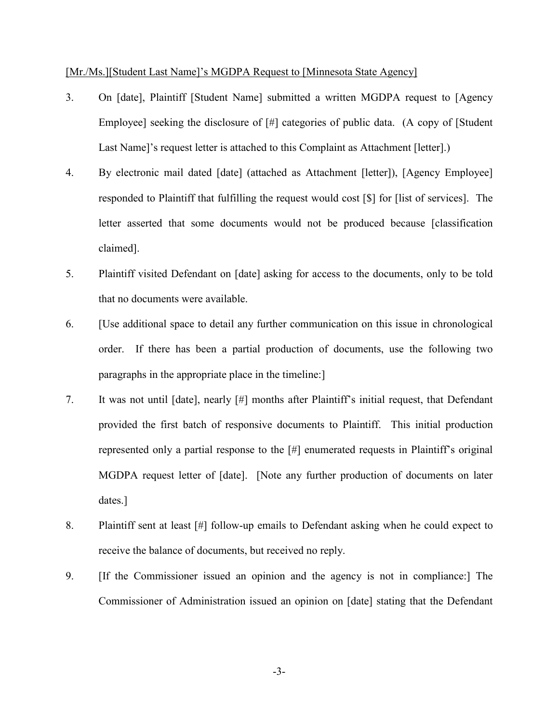#### [Mr./Ms.][Student Last Name]'s MGDPA Request to [Minnesota State Agency]

- 3. On [date], Plaintiff [Student Name] submitted a written MGDPA request to [Agency Employee] seeking the disclosure of [#] categories of public data. (A copy of [Student Last Name]'s request letter is attached to this Complaint as Attachment [letter].)
- 4. By electronic mail dated [date] (attached as Attachment [letter]), [Agency Employee] responded to Plaintiff that fulfilling the request would cost [\$] for [list of services]. The letter asserted that some documents would not be produced because [classification claimed].
- 5. Plaintiff visited Defendant on [date] asking for access to the documents, only to be told that no documents were available.
- 6. [Use additional space to detail any further communication on this issue in chronological order. If there has been a partial production of documents, use the following two paragraphs in the appropriate place in the timeline:]
- 7. It was not until [date], nearly [#] months after Plaintiff's initial request, that Defendant provided the first batch of responsive documents to Plaintiff. This initial production represented only a partial response to the [#] enumerated requests in Plaintiff's original MGDPA request letter of [date]. [Note any further production of documents on later dates.]
- 8. Plaintiff sent at least [#] follow-up emails to Defendant asking when he could expect to receive the balance of documents, but received no reply.
- 9. [If the Commissioner issued an opinion and the agency is not in compliance:] The Commissioner of Administration issued an opinion on [date] stating that the Defendant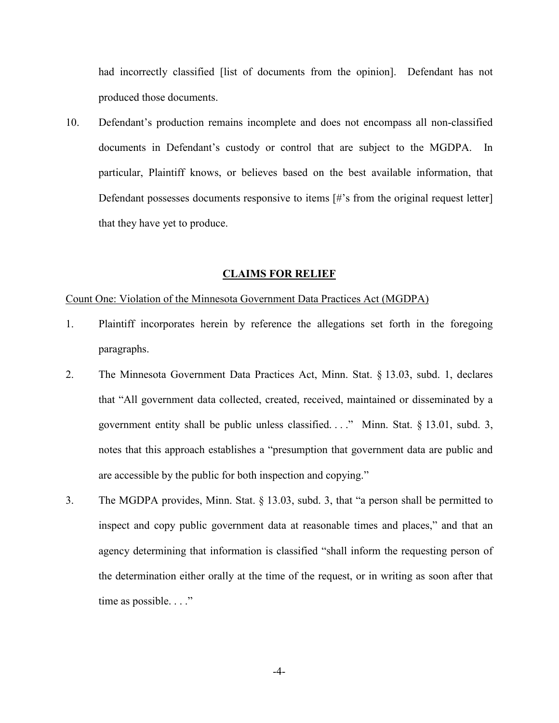had incorrectly classified [list of documents from the opinion]. Defendant has not produced those documents.

10. Defendant's production remains incomplete and does not encompass all non-classified documents in Defendant's custody or control that are subject to the MGDPA. In particular, Plaintiff knows, or believes based on the best available information, that Defendant possesses documents responsive to items [#'s from the original request letter] that they have yet to produce.

#### **CLAIMS FOR RELIEF**

# Count One: Violation of the Minnesota Government Data Practices Act (MGDPA)

- 1. Plaintiff incorporates herein by reference the allegations set forth in the foregoing paragraphs.
- 2. The Minnesota Government Data Practices Act, Minn. Stat. § 13.03, subd. 1, declares that "All government data collected, created, received, maintained or disseminated by a government entity shall be public unless classified.  $\ldots$ ." Minn. Stat. § 13.01, subd. 3, notes that this approach establishes a "presumption that government data are public and are accessible by the public for both inspection and copying."
- 3. The MGDPA provides, Minn. Stat. § 13.03, subd. 3, that "a person shall be permitted to inspect and copy public government data at reasonable times and places," and that an agency determining that information is classified "shall inform the requesting person of the determination either orally at the time of the request, or in writing as soon after that time as possible. . . ."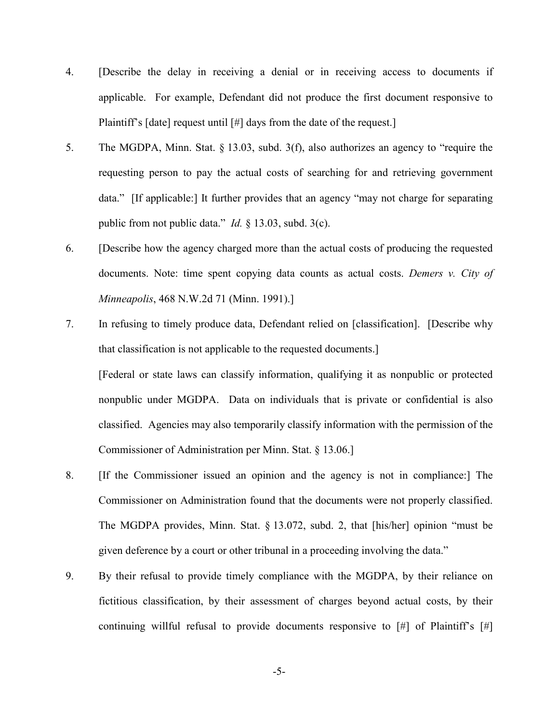- 4. [Describe the delay in receiving a denial or in receiving access to documents if applicable. For example, Defendant did not produce the first document responsive to Plaintiff's [date] request until [#] days from the date of the request.]
- 5. The MGDPA, Minn. Stat. § 13.03, subd. 3(f), also authorizes an agency to "require the requesting person to pay the actual costs of searching for and retrieving government data." [If applicable:] It further provides that an agency "may not charge for separating public from not public data." *Id.* § 13.03, subd. 3(c).
- 6. [Describe how the agency charged more than the actual costs of producing the requested documents. Note: time spent copying data counts as actual costs. *Demers v. City of Minneapolis*, 468 N.W.2d 71 (Minn. 1991).]
- 7. In refusing to timely produce data, Defendant relied on [classification]. [Describe why that classification is not applicable to the requested documents.]

[Federal or state laws can classify information, qualifying it as nonpublic or protected nonpublic under MGDPA. Data on individuals that is private or confidential is also classified. Agencies may also temporarily classify information with the permission of the Commissioner of Administration per Minn. Stat. § 13.06.]

- 8. [If the Commissioner issued an opinion and the agency is not in compliance:] The Commissioner on Administration found that the documents were not properly classified. The MGDPA provides, Minn. Stat. § 13.072, subd. 2, that [his/her] opinion "must be given deference by a court or other tribunal in a proceeding involving the data."
- 9. By their refusal to provide timely compliance with the MGDPA, by their reliance on fictitious classification, by their assessment of charges beyond actual costs, by their continuing willful refusal to provide documents responsive to  $[\#]$  of Plaintiff's  $[\#]$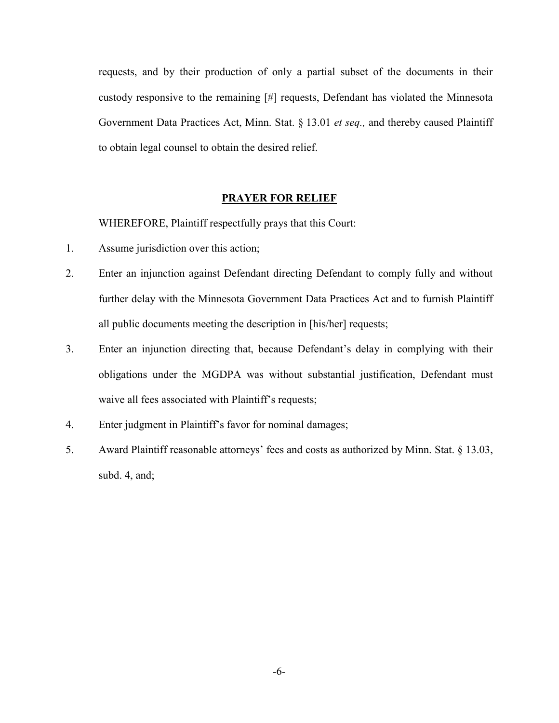requests, and by their production of only a partial subset of the documents in their custody responsive to the remaining [#] requests, Defendant has violated the Minnesota Government Data Practices Act, Minn. Stat. § 13.01 *et seq.,* and thereby caused Plaintiff to obtain legal counsel to obtain the desired relief.

# **PRAYER FOR RELIEF**

WHEREFORE, Plaintiff respectfully prays that this Court:

- 1. Assume jurisdiction over this action;
- 2. Enter an injunction against Defendant directing Defendant to comply fully and without further delay with the Minnesota Government Data Practices Act and to furnish Plaintiff all public documents meeting the description in [his/her] requests;
- 3. Enter an injunction directing that, because Defendant's delay in complying with their obligations under the MGDPA was without substantial justification, Defendant must waive all fees associated with Plaintiff's requests;
- 4. Enter judgment in Plaintiff's favor for nominal damages;
- 5. Award Plaintiff reasonable attorneys' fees and costs as authorized by Minn. Stat. § 13.03, subd. 4, and;